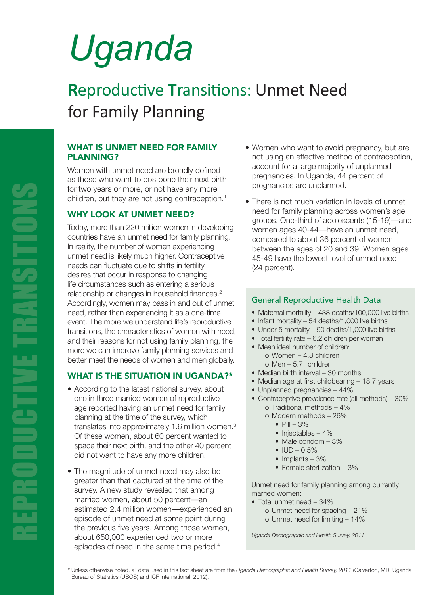# *Uganda*

# **R**eproductive **T**ransitions: Unmet Need for Family Planning

#### WHAT IS UNMET NEED FOR FAMILY PLANNING?

Women with unmet need are broadly defined as those who want to postpone their next birth for two years or more, or not have any more children, but they are not using contraception. $1$ 

### WHY LOOK AT UNMET NEED?

Today, more than 220 million women in developing countries have an unmet need for family planning. In reality, the number of women experiencing unmet need is likely much higher. Contraceptive needs can fluctuate due to shifts in fertility desires that occur in response to changing life circumstances such as entering a serious relationship or changes in household finances.<sup>2</sup> Accordingly, women may pass in and out of unmet need, rather than experiencing it as a one-time event. The more we understand life's reproductive transitions, the characteristics of women with need, and their reasons for not using family planning, the more we can improve family planning services and better meet the needs of women and men globally.

## WHAT IS THE SITUATION IN UGANDA?\*

- According to the latest national survey, about one in three married women of reproductive age reported having an unmet need for family planning at the time of the survey, which translates into approximately 1.6 million women.3 Of these women, about 60 percent wanted to space their next birth, and the other 40 percent did not want to have any more children.
- The magnitude of unmet need may also be greater than that captured at the time of the survey. A new study revealed that among married women, about 50 percent—an estimated 2.4 million women—experienced an episode of unmet need at some point during the previous five years. Among those women, about 650,000 experienced two or more episodes of need in the same time period.4
- Women who want to avoid pregnancy, but are not using an effective method of contraception, account for a large majority of unplanned pregnancies. In Uganda, 44 percent of pregnancies are unplanned.
- There is not much variation in levels of unmet need for family planning across women's age groups. One-third of adolescents (15-19)—and women ages 40-44—have an unmet need, compared to about 36 percent of women between the ages of 20 and 39. Women ages 45-49 have the lowest level of unmet need (24 percent).

#### General Reproductive Health Data

- Maternal mortality 438 deaths/100,000 live births
- Infant mortality 54 deaths/1,000 live births
- Under-5 mortality 90 deaths/1,000 live births
- Total fertility rate 6.2 children per woman
- Mean ideal number of children: o Women – 4.8 children o Men – 5.7 children
- Median birth interval 30 months
- Median age at first childbearing 18.7 years
- Unplanned pregnancies 44%
- Contraceptive prevalence rate (all methods) 30% o Traditional methods – 4%
	- o Modern methods 26%
		- $\bullet$  Pill  $-3\%$
		- Injectables 4%
		- Male condom 3%
		- $\bullet$  IUD 0.5%
		- $\bullet$  Implants 3%
		- Female sterilization 3%

Unmet need for family planning among currently married women:

- Total unmet need 34%
	- o Unmet need for spacing 21%
	- o Unmet need for limiting 14%

*Uganda Demographic and Health Survey, 2011*

<sup>\*</sup> Unless otherwise noted, all data used in this fact sheet are from the *Uganda Demographic and Health Survey, 2011* (Calverton, MD: Uganda Bureau of Statistics (UBOS) and ICF International, 2012).